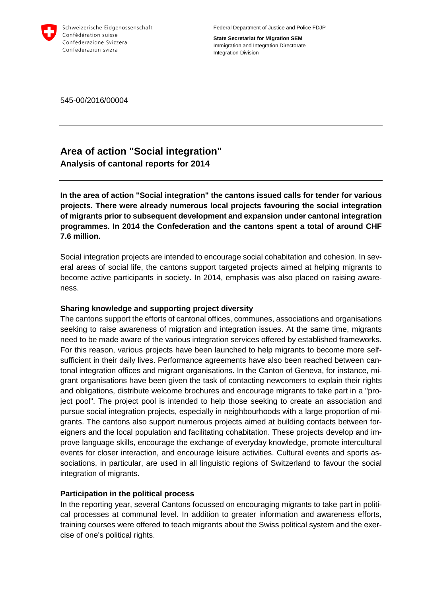

Federal Department of Justice and Police FDJP

**State Secretariat for Migration SEM** Immigration and Integration Directorate Integration Division

545-00/2016/00004

## **Area of action "Social integration" Analysis of cantonal reports for 2014**

**In the area of action "Social integration" the cantons issued calls for tender for various projects. There were already numerous local projects favouring the social integration of migrants prior to subsequent development and expansion under cantonal integration programmes. In 2014 the Confederation and the cantons spent a total of around CHF 7.6 million.** 

Social integration projects are intended to encourage social cohabitation and cohesion. In several areas of social life, the cantons support targeted projects aimed at helping migrants to become active participants in society. In 2014, emphasis was also placed on raising awareness.

## **Sharing knowledge and supporting project diversity**

The cantons support the efforts of cantonal offices, communes, associations and organisations seeking to raise awareness of migration and integration issues. At the same time, migrants need to be made aware of the various integration services offered by established frameworks. For this reason, various projects have been launched to help migrants to become more selfsufficient in their daily lives. Performance agreements have also been reached between cantonal integration offices and migrant organisations. In the Canton of Geneva, for instance, migrant organisations have been given the task of contacting newcomers to explain their rights and obligations, distribute welcome brochures and encourage migrants to take part in a "project pool". The project pool is intended to help those seeking to create an association and pursue social integration projects, especially in neighbourhoods with a large proportion of migrants. The cantons also support numerous projects aimed at building contacts between foreigners and the local population and facilitating cohabitation. These projects develop and improve language skills, encourage the exchange of everyday knowledge, promote intercultural events for closer interaction, and encourage leisure activities. Cultural events and sports associations, in particular, are used in all linguistic regions of Switzerland to favour the social integration of migrants.

## **Participation in the political process**

In the reporting year, several Cantons focussed on encouraging migrants to take part in political processes at communal level. In addition to greater information and awareness efforts, training courses were offered to teach migrants about the Swiss political system and the exercise of one's political rights.